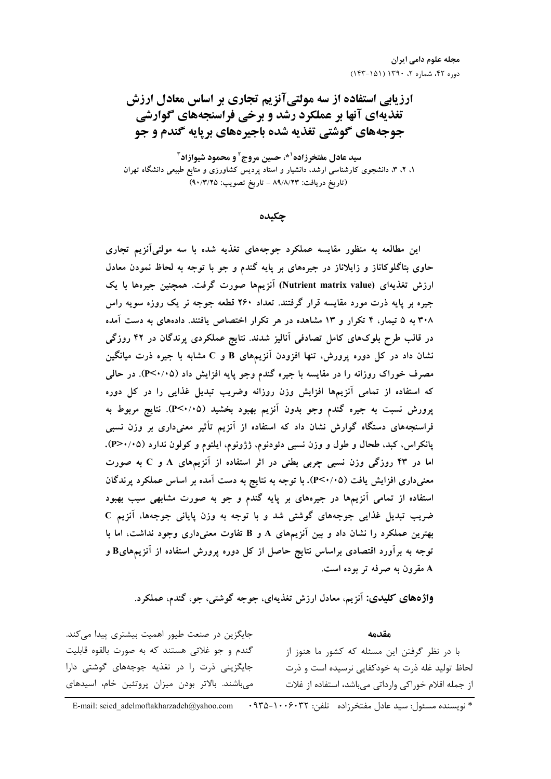ارزیابی استفاده از سه مولتیآنزیم تجاری بر اساس معادل ارزش **تغذیهای آنها بر عملکرد رشد و برخی فراسنجههای گوارشی** جوجههای گوشتی تغذیه شده باجیرههای برپایه گندم و جو

سيد عادل مفتخرزاده<sup>10</sup>، حسين مروج<sup>2</sup> و محمود شيوازاد**3** ۱، ۲، ۳، دانشجوی کارشناسی ارشد. دانشیار و استاد پردیس کشاورزی و منابع طبیعی دانشگاه تهران (تاريخ دريافت: ٨٩/٨/٢٣ - تاريخ تصويب: ٩٠/٣/٢٥)

چکیده

این مطالعه به منظور مقایسه عملکرد جوجههای تغذیه شده با سه مولتی آنزیم تجاری حاوی بتاگلوکاناز و زایلاناز در جیرههای بر پایه گندم و جو با توجه به لحاظ نمودن معادل ارزش تغذیهای (Nutrient matrix value) آنزیمها صورت گرفت. همچنین جیرهها با یک جیره بر پایه ذرت مورد مقایسه قرار گرفتند. تعداد ۲۶۰ قطعه جوجه نر یک روزه سویه راس ۳۰۸ به ۵ تیمار، ۴ تکرار و ۱۳ مشاهده در هر تکرار اختصاص یافتند. دادههای به دست آمده در قالب طرح بلوکهای کامل تصادفی آنالیز شدند. نتایج عملکردی پرندگان در ۴۲ روزگی نشان داد در کل دوره پرورش، تنها افزودن آنزیمهای B و C مشابه با جیره ذرت میانگین مصرف خوراک روزانه را در مقایسه با جیره گندم وجو پایه افزایش داد (۴<۰/۰۵). در حالمی که استفاده از تمامی آنزیمها افزایش وزن روزانه وضریب تبدیل غذایی را در کل دوره پرورش نسبت به جیره گندم وجو بدون آنزیم بهبود بخشید (۴<۰/۰۵). نتایج مربوط به فراسنجههای دستگاه گوارش نشان داد که استفاده از آنزیم تأثیر معنیداری بر وزن نسبی پانکراس، کبد، طحال و طول و وزن نسبی دئودنوم، ژژونوم، ایلئوم و کولون ندارد (۴>٠/٠۵). اما در ۴۳ روزگی وزن نسبی چربی بطنی در اثر استفاده از آنزیمهای A و C به صورت معنیداری افزایش یافت (۶۰/۰۵). با توجه به نتایج به دست آمده بر اساس عملکرد پرندگان استفاده از تمامی آنزیمها در جیرههای بر پایه گندم و جو به صورت مشابهی سبب بهبود ضریب تبدیل غذایی جوجههای گوشتی شد و با توجه به وزن پایانی جوجهها، آنزیم C بهترین عملکرد را نشان داد و بین آنزیمهای A و B تفاوت معنیداری وجود نداشت، اما با توجه به برآورد اقتصادی براساس نتایج حاصل از کل دوره پرورش استفاده از آنزیمهایB و A مقرون به صرفه تر بوده است.

**واژههای کلیدی:** اَنزیم، معادل ارزش تغذیهای، جوجه گوشتی، جو، گندم، عملکرد.

جایگزین در صنعت طیور اهمیت بیشتری پیدا میکند. مقدمه گندم و جو غلاتی هستند که به صورت بالقوه قابلیت با در نظر گرفتن این مسئله که کشور ما هنوز از جایگزینی ذرت را در تغذیه جوجههای گوشتی دارا لحاظ تولید غله ذرت به خودکفایی نرسیده است و ذرت میباشند. بالاتر بودن میزان پروتئین خام، اسیدهای از جمله اقلام خوراكي وارداتي مي باشد، استفاده از غلات

\* نويسنده مسئول: سبد عادل مفتخر;اده تلفن: E-mail: seied adelmoftakharzadeh@yahoo.com . ٩٣٥-١٠٠۶٠٣٢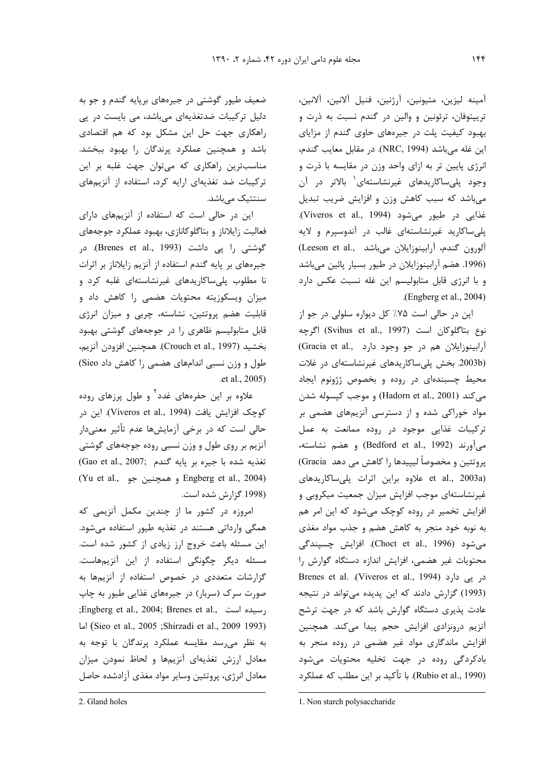آمينه ليزين، متيونين، آرژنين، فنيل آلانين، آلانين، تریپتوفان، ترئونین و والین در گندم نسبت به ذرت و بهبود کیفیت پلت در جیرههای حاوی گندم از مزایای این غله میباشد (NRC, 1994). در مقابل معایب گندم، انرژی پایین تر به ازای واحد وزن در مقایسه با ذرت و وجود پلی ساکاریدهای غیرنشاستهای<sup>۱</sup> بالاتر در آن میباشد که سبب کاهش وزن و افزایش ضریب تبدیل غذايي در طيور مي شود (Viveros et al., 1994). پلی ساکارید غیرنشاستهای غالب در آندوسپرم و لایه آلورون گندم، آرابینوزایلان می باشد ..Leeson et al (1996. هضم آرابینوزایلان در طیور بسیار پائین میباشد و با انرژی قابل متابولیسم این غله نسبت عکس دارد .(Engberg et al., 2004)

این در حالی است ۷۵٪ کل دیواره سلولی در جو از نوع بتاگلوكان است (Svihus et al., 1997) اگرچه آرابينوزايلان هم در جو وجود دارد .Gracia et al) (2003b بخش پلی ساکاریدهای غیرنشاستهای در غلات محيط چسبندهاى در روده و بخصوص ژژونوم ايجاد می کند (Hadorn et al., 2001) و موجب کپسوله شدن مواد خوراکی شده و از دسترسی آنزیمهای هضمی بر ترکیبات غذایی موجود در روده ممانعت به عمل می آورند (Bedford et al., 1992) و هضم نشاسته، پروتئين و مخصوصاً ليپيدها را كاهش مي دهد Gracia) et al., 2003a) علاوه براين اثرات پلي ساكاريدهاى غیرنشاستهای موجب افزایش میزان جمعیت میکروبی و افزایش تخمیر در روده کوچک می شود که این امر هم به نوبه خود منجر به کاهش هضم و جذب مواد مغذی می شود (Choct et al., 1996). افزایش چسپندگی محتویات غیر هضمی، افزایش اندازه دستگاه گوارش را Brenes et al. (Viveros et al., 1994) در پی دارد (1993) گزارش دادند که این پدیده میتواند در نتیجه عادت پذیری دستگاه گوارش باشد که در جهت ترشح آنزیم درونزادی افزایش حجم پیدا میکند. همچنین افزایش ماندگاری مواد غیر هضمی در روده منجر به بادکردگی روده در جهت تخلیه محتویات می شود (Rubio et al., 1990). با تأكيد بر اين مطلب كه عملكرد

ضعیف طیور گوشتی در جیرههای برپایه گندم و جو به دلیل ترکیبات ضدتغذیهای میباشد، می بایست در پی راهکاری جهت حل این مشکل بود که هم اقتصادی باشد و همچنین عملکرد پرندگان را بهبود ببخشد. مناسبترین راهکاری که میتوان جهت غلبه بر این ترکیبات ضد تغذیهای ارایه کرد، استفاده از آنزیمهای سنتتیک مے باشد.

این در حالی است که استفاده از آنزیمهای دارای فعالیت زایلاناز و بتاگلوکانازی، بهبود عملکرد جوجههای گوشتی ,ا یی داشت (Brenes et al., 1993). در جیرههای بر پایه گندم استفاده از آنزیم زایلاناز بر اثرات نا مطلوب پلی ساکاریدهای غیرنشاستهای غلبه کرد و میزان ویسکوزیته محتویات هضمی را کاهش داد و قابلیت هضم پروتئین، نشاسته، چربی و میزان انرژی قابل متابولیسم ظاهری را در جوجههای گوشتی بهبود بخشيد (Crouch et al., 1997). همچنين افزودن آنزيم، طول و وزن نسبی اندامهای هضمی را کاهش داد Sieo) .et al., 2005)

علاوه بر این حفرههای غدد<sup>۲</sup> و طول پرزهای روده كوچک افزايش يافت (Viveros et al., 1994). اين در حالی است که در برخی آزمایشها عدم تأثیر معنیدار آنزیم بر روی طول و وزن نسبی روده جوجههای گوشتی (Gao et al., 2007; تغذيه شده با جيره بر پايه گندم (Yu et al., و همچنین جو Engberg et al., 2004) (1998 گزارش شده است.

امروزه در کشور ما از چندین مکمل آنزیمی که همگی وارداتی هستند در تغذیه طیور استفاده می شود. این مسئله باعث خروج ارز زیادی از کشور شده است. مسئله دیگر چگونگی استفاده از این آنزیمهاست. گزارشات متعددی در خصوص استفاده از آنزیمها به صورت سرک (سربار) در جیرههای غذایی طیور به چاپ ;Engberg et al., 2004; Brenes et al., رسیده است, اما (Sieo et al., 2005 ;Shirzadi et al., 2009 1993) به نظر می,سد مقایسه عملکرد پرندگان با توجه به معادل ارزش تغذیهای آنزیمها و لحاظ نمودن میزان معادل انرژي، پروتئين وساير مواد مغذي آزادشده حاصل

<sup>1.</sup> Non starch polysaccharide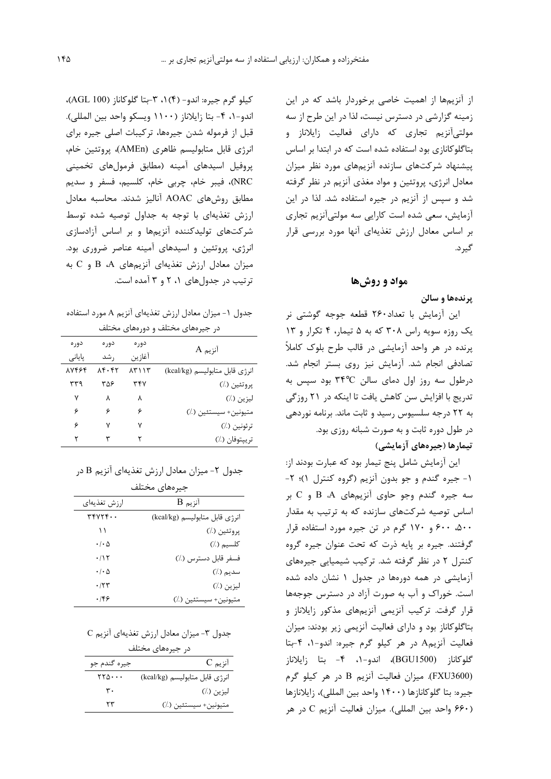از آنزیمها از اهمیت خاصی برخوردار باشد که در این زمینه گزارشی در دسترس نیست، لذا در این طرح از سه مولتیآنزیم تجاری که دارای فعالیت زایلاناز و بتاگلوکانازی بود استفاده شده است که در ابتدا بر اساس پیشنهاد شرکتهای سازنده آنزیمهای مورد نظر میزان معادل انرژی، پروتئین و مواد مغذی آنزیم در نظر گرفته شد و سیس از آنزیم در جیره استفاده شد. لذا در این آزمایش، سعی شده است کارایی سه مولتی آنزیم تجاری بر اساس معادل ارزش تغذیهای آنها مورد بررسی قرار گیر د.

# مواد و روشها

## پرندهها و سالن

این آزمایش با تعداد۲۶۰ قطعه جوجه گوشتی نر یک روزه سویه راس ۳۰۸ که به ۵ تیمار، ۴ تکرار و ۱۳ پرنده در هر واحد آزمایشی در قالب طرح بلوک کاملاً تصادفی انجام شد. آزمایش نیز روی بستر انجام شد.  $\epsilon$ درطول سه روز اول دمای سالن ۳۴°C بود سیس به تدریج با افزایش سن کاهش یافت تا اینکه در ۲۱ روزگی به ٢٢ درجه سلسيوس رسيد و ثابت ماند. برنامه نوردهي در طول دوره ثابت و به صورت شبانه روزی بود. تیمارها (جیرەهای آزمایشی)

این آزمایش شامل پنج تیمار بود که عبارت بودند از: ۱- جیره گندم و جو بدون آنزیم (گروه کنترل ۱)؛ ۲-سه جیره گندم وجو حاوی آنزیمهای B ،A و C بر اساس توصیه شرکتهای سازنده که به ترتیب به مقدار ۵۰۰، ۶۰۰ و ۱۷۰ گرم در تن جیره مورد استفاده قرار گرفتند. جیره بر پایه ذرت که تحت عنوان جیره گروه کنترل ۲ در نظر گرفته شد. ترکیب شیمیایی جیرههای آزمایشی در همه دورمها در جدول ۱ نشان داده شده است. خوراک و آب به صورت آزاد در دسترس جوجهها قرار گرفت. ترکیب آنزیمی آنزیمهای مذکور زایلاناز و بتاگلوکاناز بود و دارای فعالیت آنزیمی زیر بودند: میزان فعالیت آنزیمA در هر کیلو گرم جیره: اندو-۱، ۴-بتا گلوکاناز (BGU1500)، اندو−۱، ۴− بتا زایلاناز (FXU3600). میزان فعالیت آنزیم B در هر کیلو گرم جيره: بتا گلوكانازها (١۴٠٠ واحد بين المللي)، زايلانازها (۶۶۰ واحد بين المللي). ميزان فعاليت آنزيم C در هر

کیلو گرم جیره: اندو- (۴) ۰، ۳-بتا گلوکاناز (AGL 100)، اندو-١، ۴- بتا زايلاناز (١١٠٠ ويسكو واحد بين المللي). قبل از فرموله شدن جیرهها، ترکیبات اصلی جیره برای انرژی قابل متابولیسم ظاهری (AMEn)، پروتئین خام، پروفیل اسیدهای آمینه (مطابق فرمولهای تخمینی NRC)، فيبر خام، چربي خام، كلسيم، فسفر و سديم مطابق روشهای AOAC آنالیز شدند. محاسبه معادل ارزش تغذیهای با توجه به جداول توصیه شده توسط شرکتهای تولیدکننده آنزیمها و بر اساس آزادسازی انرژی، پروتئین و اسیدهای آمینه عناصر ضروری بود. میزان معادل ارزش تغذیهای آنزیمهای B ،A و C به ترتیب در جدولهای ۰، ۲ و ۳ آمده است.

جدول ۱- میزان معادل ارزش تغذیهای آنزیم A مورد استفاده در جیرههای مختلف و دورههای مختلف

| دور ہ  | دور ہ | دور ہ  | $A$ آنزیم                      |
|--------|-------|--------|--------------------------------|
| پایانی | , شد  | آغازين |                                |
| 87448  | ۸۴۰۴۲ | ۱۳۱ ۱۳ | انرژى قابل متابوليسم (kcal/kg) |
| ۳۳۹    | ۳۵۶   | ۳۴۷    | پروتئين (٪)                    |
| ٧      | ٨     | ٨      | ليزين (٪)                      |
| ۶      | ۶     | ۶      | متيونين+ سيستئين (./)          |
| ۶      | ۷     | ٧      | ترئونين (./)                   |
| ۲      | ٣     | ۲      | تريپتوفان (٪)                  |

|  |  |  |  | جدول ۲- میزان معادل ارزش تغذیهای آنزیم B در |  |
|--|--|--|--|---------------------------------------------|--|
|--|--|--|--|---------------------------------------------|--|

|  | جيرەهاي مختلف |
|--|---------------|
|--|---------------|

| ارزش تغذيهاي               | $\rm{B}$ آنزیم                 |
|----------------------------|--------------------------------|
| rrYYYf                     | انرژى قابل متابوليسم (kcal/kg) |
|                            | پروتئين (٪)                    |
| $\cdot$ / $\cdot$ $\Delta$ | كلسيم (٪)                      |
| ۰/۱۲                       | فسفر قابل دسترس (٪)            |
| $\cdot$ / $\cdot$ $\Delta$ | سديم (٪)                       |
| $\cdot$ /۲۳                | ليزين (٪)                      |
| .199                       | متيونين+ سيستئين (٪)           |

|  |  | مدول ۳- میزان معادل ارزش تغذیهای انزیم C |  |  |  |  |
|--|--|------------------------------------------|--|--|--|--|
|--|--|------------------------------------------|--|--|--|--|

| در جیرەهای مختلف                       |                                |  |  |  |  |  |  |  |  |  |
|----------------------------------------|--------------------------------|--|--|--|--|--|--|--|--|--|
| جيره گندم جو                           | $C_{\mathbf{r}}$ آنزیم         |  |  |  |  |  |  |  |  |  |
| $\mathsf{Y}\mathsf{Y}\mathsf{Q}\cdots$ | انرژى قابل متابوليسم (kcal/kg) |  |  |  |  |  |  |  |  |  |
| ۳.                                     | ليزين (./)                     |  |  |  |  |  |  |  |  |  |
| ٢٣                                     | متيونين+ سيستئين (./)          |  |  |  |  |  |  |  |  |  |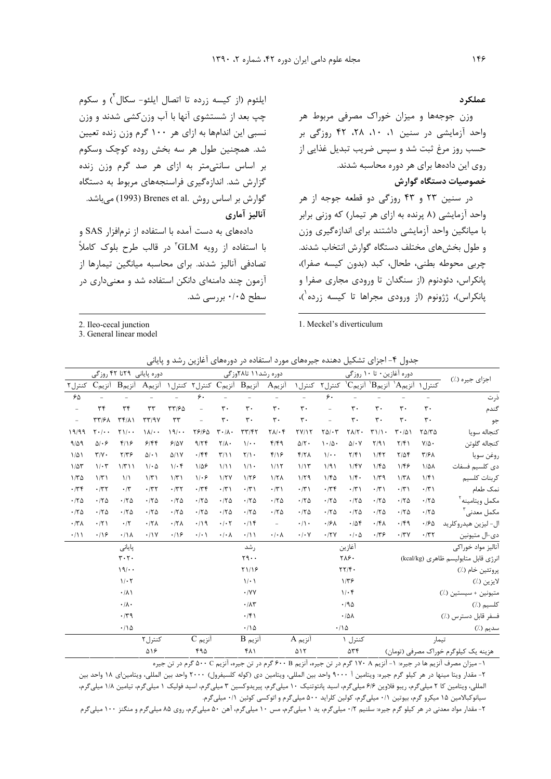ایلئوم (از کیسه زرده تا اتصال ایلئو- سکال<sup>۲</sup>) و سکوم چپ بعد از شستشوی آنها با آب وزنکشی شدند و وزن نسبی این اندامها به ازای هر ۱۰۰ گرم وزن زنده تعیین شد. همچنین طول هر سه بخش روده کوچک وسکوم بر اساس سانتی متر به ازای هر صد گرم وزن زنده گزارش شد. اندازهگیری فراسنجههای مربوط به دستگاه گوارش بر اساس روش .Brenes et al (1993) مے،باشد. آناليز آماري

دادههای به دست آمده با استفاده از نرمافزار SAS و با استفاده از رویه GLM" در قالب طرح بلوک کاملاً تصادفی آنالیز شدند. برای محاسبه میانگین تیمارها از آزمون چند دامنهای دانکن استفاده شد و معنیداری در سطح ۰/۰۵ بررسی شد.

2. Ileo-cecal junction

3. General linear model

#### عملكرد

وزن جوجهها و میزان خوراک مصرفی مربوط هر واحد آزمایشی در سنین ۰، ۰، ۲۸، ۴۲ روزگی بر حسب روز مرغ ثبت شد و سپس ضریب تبدیل غذایی از روی این دادهها برای هر دوره محاسبه شدند. خصوصيات دستگاه گوارش

در سنین ۲۳ و ۴۳ روزگی دو قطعه جوجه از هر واحد آزمایشی (۸ پرنده به ازای هر تیمار) که وزنی برابر با میانگین واحد آزمایشی داشتند برای اندازهگیری وزن و طول بخشهای مختلف دستگاه گوارش انتخاب شدند. چربی محوطه بطنی، طحال، کبد (بدون کیسه صفرا)، پانکراس، دئودنوم (از سنگدان تا ورودی مجاری صفرا و پانکراس)، ژژونوم (از ورودی مجراها تا کیسه زرده ٰ)،

1. Meckel's diverticulum

جدول ۴- اجزای تشکیل دهنده جیرههای مورد استفاده در دورههای آغازین رشد و پایانی

|                                      | دوره آغازین٠ تا ١٠ روزگي |                                                                           |                |                                |                                       |                                                       | دوره رشد\۱ تا۲۸وزگی                 |                     |                                 |                                                    | دوره پایانی ۲۹تا ۴۲ روزگی |                        |                                 |                                  |                          |
|--------------------------------------|--------------------------|---------------------------------------------------------------------------|----------------|--------------------------------|---------------------------------------|-------------------------------------------------------|-------------------------------------|---------------------|---------------------------------|----------------------------------------------------|---------------------------|------------------------|---------------------------------|----------------------------------|--------------------------|
| اجزای جیره (٪)                       |                          | ${}^{\backprime}\text{C}$ كنترل ۱ ${}^{\backprime}\text{A}$ أنزيم انزيم ا |                |                                | کنترل ۲                               | کنترل ۱                                               | $A_{\rho}$ آنزیم                    |                     |                                 | $\cup$ آنزیم $\mathbf{B}$ آنزیم $\mathbf{C}$ کنترل |                           | آنزیمA                 | $\mathrm{B}_{\mathsf{p}}$ آنزیم | $C_{\rho}$ آنزیم                 | کنترل ۲                  |
| ذرت                                  |                          |                                                                           |                |                                | ۶۰                                    |                                                       |                                     |                     |                                 | ۶.                                                 |                           |                        |                                 |                                  | ۶۵                       |
| گندم                                 | $\mathbf{r}$ .           | $\mathsf{r}\cdot$                                                         | $\mathbf{r}$ . | $\mathbf{r}$ .                 |                                       | $\mathbf{r}$ .                                        | $\mathbf{r}$ .                      | $\mathbf{r}$ .      | ٣٠                              |                                                    | $\tau\tau$ /۶۵            | ٣٣                     | $\tau\tau$                      | $\tau$                           | $\overline{\phantom{a}}$ |
| جو                                   | $\mathbf{r}$ .           | $\mathbf{r}$ .                                                            | $\mathbf{r}$ . | $\mathbf{r}$ .                 |                                       | $\mathbf{r}$ .                                        | $\mathbf{r}$ .                      | $\mathbf{r}$ .      | $\mathbf{r}$ .                  |                                                    | $\tau\tau$                | $\tau\tau$ /9 $\gamma$ | $\uparrow \uparrow / \uparrow$  | <b>٣٣/۶٨</b>                     | $\equiv$                 |
| كنجاله سويا                          | $Y\Delta/Y\Delta$        | $T - 101$                                                                 | T11            | $\Upsilon \Lambda / \Upsilon$  | $\Gamma \Delta/\cdot \Upsilon$        | TY/17                                                 | $\Upsilon \Lambda / \cdot \Upsilon$ | $\tau\tau/\tau\tau$ | $\mathbf{r} \cdot / \mathbf{A}$ | 78180                                              | 19/4                      | $\lambda/\cdot$ .      | $\Upsilon$ )/ $\cdot$           | $\mathbf{Y} \cdot / \cdot \cdot$ | 19/99                    |
| كنجاله گلوتن                         | $Y/\Delta$ .             | $Y/\mathfrak{f}$                                                          | Y/91           | $\Delta/\cdot V$               | $\mathcal{N} \cdot \mathcal{N} \cdot$ | $\Delta/\Upsilon$ .                                   | $f/f$ ۹                             | $\mathcal{U}$ .     | $Y/\Lambda$ .                   | 9/77                                               | 9/0V                      | 9/99                   | $f/\sqrt{2}$                    | $\Delta/\cdot$ ۶                 | 9/29                     |
| روغن سويا                            | $T/7\lambda$             | $Y/\Delta f$                                                              | 1/fT           | $\frac{1}{\pi}$                | $\mathcal{U}$ .                       | Y/Y                                                   | $f/\sqrt{2}$                        | $\Upsilon/\Upsilon$ | $\tau/\lambda$                  | .799                                               | $\Delta/1V$               | $\Delta$ / $\cdot$ )   | $Y/Y$ ۶                         | $\Upsilon/\Upsilon$ .            | $1/\Delta$               |
| دى كلسيم فسفات                       | $1/\Delta\lambda$        | 1/46                                                                      | 1/FQ           | 1/fV                           | 1/91                                  | 1/15                                                  | 1/15                                | $1/\lambda$ .       | 1/11                            | $1/\Delta$ ۶                                       | $1/\cdot$ ۴               | $1/\cdot \Delta$       | 1/T11                           | $1/\cdot 7$                      | $1/\Delta \tau$          |
| كربنات كلسيم                         | 1/f1                     | 1/T <sub>A</sub>                                                          | $1/\tau$ ۹     | $1/\mathfrak{f}$ .             | $1/f\Delta$                           | 1/79                                                  | $1/7\lambda$                        | 1/59                | 1/7V                            | $1/\cdot$ ۶                                        | $1/\tau$                  | 1/T1                   | $\frac{1}{2}$                   | 1/T1                             | $1/\tau \Delta$          |
| نمک طعام                             | $\cdot$ /٣١              | $\cdot$ /٣١                                                               | $\cdot$ /۳)    | $\cdot$ /٣١                    | $\cdot$ /٣۴                           | $\cdot$ /٣١                                           | $\cdot$ /٣١                         | $\cdot$ /٣١         | $\cdot$ /٣)                     | $\cdot$ /٣۴                                        | .777                      | .777                   | $\cdot$ /٣                      | .777                             | $\cdot$ /۳۴              |
| مكمل ويتامينه                        | $\cdot$ /٢ $\Delta$      | $\cdot$ /٢ $\Delta$                                                       | .70            | .70                            | .78                                   | .70                                                   | .170                                | .70                 | .70                             | .70                                                | .70                       | .170                   | .70                             | .70                              | .70                      |
| مكمل معدني                           | .70                      | .70                                                                       | .70            | .70                            | .70                                   | .170                                                  | .170                                | .70                 | .70                             | .70                                                | .70                       | .170                   | .180                            | .170                             | .70                      |
| ال- ليزين هيدروكلريد                 | $\cdot$ /۶۵              | $\cdot$ /۴۹                                                               | $\cdot$ /۴۸    | .708                           | $\cdot$ /۶۸                           | $\cdot/\wedge$                                        | $\equiv$                            | $\cdot$ /14         | $\cdot$ / $\cdot$ $\cdot$       | $\cdot$ /19                                        | $.77\lambda$              | $.17\lambda$           | $\cdot$ /٢                      | .771                             | $\cdot$ /۳ $\Lambda$     |
| دي-ال متيونين                        | $\cdot$ /۳۲              | $\cdot$ /٣٧                                                               | $\cdot$ /٣۶    | $\cdot$ / $\cdot$ $\Delta$     | $\cdot$ /٢٧                           | $\boldsymbol{\cdot}\, \boldsymbol{\cdot}\,$ $\forall$ | $\cdot/\cdot \wedge$                | $\cdot/\rightarrow$ | $\cdot/\cdot \wedge$            | $\cdot/\cdot$ \                                    | .19                       | .11V                   | $\cdot/\lambda$                 | $\cdot$ /16                      | $\cdot/\mathcal{V}$      |
| أناليز مواد خوراكى                   |                          |                                                                           |                | آغازين                         |                                       |                                                       |                                     | , شد                |                                 |                                                    |                           |                        | پایانی                          |                                  |                          |
| نرژی قابل متابولیسم ظاهری (kcal/kg)  |                          |                                                                           |                | ٢٨۶.                           |                                       |                                                       |                                     | Y9.                 |                                 |                                                    |                           |                        | $\mathbf{r} \cdot \mathbf{r}$ . |                                  |                          |
| پروتئين خام (٪)                      |                          |                                                                           |                | $\tau\tau/\tau$ .              |                                       |                                                       |                                     | Y119                |                                 |                                                    |                           |                        | 19/4                            |                                  |                          |
| لايزين (./)                          |                          |                                                                           |                | $1/\tau$ ۶                     |                                       |                                                       |                                     | $\setminus/\cdot$   |                                 |                                                    |                           |                        | $1/\cdot 7$                     |                                  |                          |
| متيونين + سيستين (./)                |                          |                                                                           |                | $1/\cdot$ ۴                    |                                       |                                                       |                                     | $\cdot$ /YY         |                                 |                                                    |                           |                        | $\cdot/\lambda$                 |                                  |                          |
| کلسیم (٪)                            |                          |                                                                           |                | .790                           |                                       |                                                       |                                     | $\cdot/\Lambda\tau$ |                                 |                                                    |                           |                        | $\cdot/\lambda$ .               |                                  |                          |
| فسفر قابل دسترس (٪)                  |                          |                                                                           |                | $\cdot/\Delta\Lambda$          |                                       |                                                       |                                     | $\cdot$ /۴)         |                                 |                                                    |                           |                        | .79                             |                                  |                          |
| سديم (./)                            |                          |                                                                           |                |                                | $\cdot/\Delta$                        |                                                       |                                     | $\cdot$ / ۱ ۵       |                                 |                                                    |                           |                        | .70                             |                                  |                          |
|                                      | تيمار                    |                                                                           |                | کنترل ۱                        |                                       | آنزیم A                                               |                                     | $B$ آنزیم           |                                 | $C_{\mathbf{r}}$ آنزیم                             |                           | کنترل ۲                |                                 |                                  |                          |
| هنرزه یک کیلمگرم خمراک مصرفی (تممان) |                          |                                                                           |                | $\Delta \mathbf{r} \mathbf{r}$ |                                       | $\Delta$                                              |                                     | ۴۸۱                 |                                 | ۴۹۸                                                |                           | ۵۱۶                    |                                 |                                  |                          |

۱- میزان مصرف آنزیم ها در جیره: ۱- آنزیم ۱۷۰ A گرم در تن جیره، آنزیم ۶۰۰ B گرم در تن جیره، آنزیم ۵۰۰ C گرم در تن جیره

۲- مقدار ويتا مينها در هر كيلو گرم جيره: ويتامين أ ۹۰۰۰ واحد بين المللي، ويتامين دي (كوله كلسيفرول) ۲۰۰۰ واحد بين المللي، ويتامين|ي ۱۸ واحد بين المللي، ويتامين كا ٢ ميلي5رم، ريبو فلاوين ۶/۶ ميلي5رم، اسيد پانتوتنيک ١٠ ميلي6رم، پيريدوكسين ٣ ميلي5رم، اسيد فوليک ١ ميلي6رم، تيامين ١١٨ ميلي5رم، سیانوکبالامین ۱۵ میکرو گرم، بیوتین ۰/۱ میلیگرم، کولین کلراید ۵۰۰ میلیگرم و اتوکسی کوئین ۰/۱ میلیگرم.

۲- مقدار مواد معدنی در هر کیلو گرم جیره: سلنیم ۰/۲ میلیگرم، ید ۱ میلیگرم اسلی گرم آهن ۵۰ میلیگرم، روی ۸۵ میلیگرم و منگنز ۱۰۰ میلیگرم

148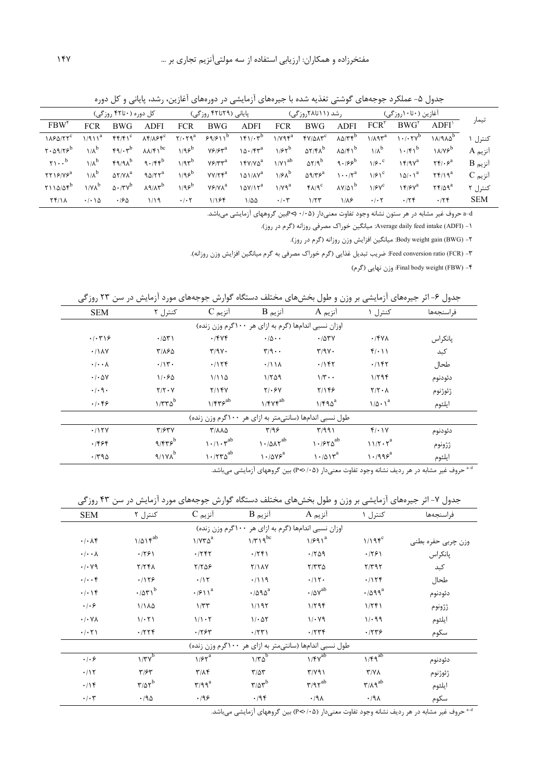|                                    |                              | کل دوره (۲۰تا۴۲ روزگی)        |                                        |                           | پایانی (۲۹تا۴۲ روزگی) |                                        |                  | رشد (۱۱تا۲۸روزگی)          |                                      |                           | آغازین (۲۰تا۱۰روزگی)               |                                               |                          |
|------------------------------------|------------------------------|-------------------------------|----------------------------------------|---------------------------|-----------------------|----------------------------------------|------------------|----------------------------|--------------------------------------|---------------------------|------------------------------------|-----------------------------------------------|--------------------------|
| $FBW^{\dagger}$                    | <b>FCR</b>                   | BWG                           | <b>ADFI</b>                            | <b>FCR</b>                | <b>BWG</b>            | <b>ADFI</b>                            | <b>FCR</b>       | BWG                        | <b>ADFI</b>                          | $FCR^{\dagger}$           | $BWG^{\dagger}$                    | ADFI'                                         | تيمار                    |
| $1\lambda$ ۶۵/۲۲ $^{\rm c}$        | $1/911^a$                    | $f(f/f)^c$                    | $\lambda$ ۴/ $\lambda$ ۶۴ <sup>c</sup> | $Y/\cdot Yq^a$            |                       | $99/911^b$ $191/17^b$                  | $1/Y$ ۹۴ $^a$    | $fV/\Delta\Lambda\tau^c$   | $\lambda \Delta/T$ $f^D$             | $1/\lambda$ ٩٣ $^a$       | $1 \cdot$ / $\cdot$ $7 \vee^b$     | $1A/9A\Delta^D$                               | کنټ] ۱                   |
| $Y \cdot \Delta$ 9/۲۶ <sup>b</sup> | $1/\lambda^b$                | $f_1, f_2$                    | $\lambda \lambda / f$ <sup>bc</sup>    | $1/95^b$                  | $Y5/5y^a$             | $10.75^{a}$                            | 1/55             | $\Delta Y/f\Lambda^b$      | $\lambda \Delta / f \gamma^b$        | $1/\lambda^b$             | 1.75                               | $1A/Vf^b$                                     | آنزیم A                  |
| $\gamma$ $^b$                      | $1/x^b$                      | $FA/4\Lambda^b$               | $9.75^{b}$                             | $1/9r^{b}$                | $Y \div T^{a}$        | $15Y/Y\delta^a$                        | $1/Y1^{ab}$      | $\Delta Y$ /9 <sup>b</sup> | $9.199^b$                            | $1/5 \cdot c$             | $15/9V^a$                          | $\mathbf{Y} \mathbf{Y} / \cdot \mathbf{S}^a$  | آنزیم B                  |
| $\mathsf{YY19}/\mathsf{Y5}^a$      | $1/\lambda^b$                | $\Delta Y/Y\lambda^a$         | ۹۵/۲۲ $^a$                             | $1/95^b$                  | $YY/7f^a$             | $\lambda \Delta \lambda / \lambda V^a$ | $1/8\lambda^b$   | $\Delta$ 9/٣۶ $^a$         | $\cdots$ / $\mathbf{r}^{\mathrm{a}}$ | $1/F1^c$                  | $\lambda \Delta / \cdot \lambda^a$ | $\mathsf{Y}\mathsf{F}/\mathsf{Y}\mathsf{q}^a$ | $C_{\mathfrak{p}}$ آنزیم |
| Y110/25                            | $1/N\lambda^b$               | $\Delta \cdot$ /۳ $V^{\rm b}$ | $\lambda$ 9/ $\lambda$ r <sup>b</sup>  | $1/95^b$                  | $Y \div Y \Lambda^a$  | $10Y/17^a$                             | 1/V <sup>a</sup> | $f\Lambda$ /9 <sup>c</sup> | $\lambda V/\Delta V^b$               | $1/FV^c$                  | $15/8V^a$                          | $\mathsf{Y}\mathsf{F}/\Delta\mathsf{q}^a$     | کنټل ۲                   |
| $Yf/\lambda$                       | $\cdot$ / $\cdot$ \ $\Delta$ | .190                          | ۱۱۹                                    | $\cdot$ / $\cdot$ $\cdot$ | 1194                  | $1/\Delta\Delta$                       | $\cdot/\cdot7$   | 1/TT                       | $1/\lambda$ ۶                        | $\cdot$ / $\cdot$ $\cdot$ | .179                               | .75                                           | <b>SEM</b>               |
|                                    |                              |                               |                                        |                           |                       | .                                      |                  |                            |                                      |                           |                                    |                                               |                          |

جدول ۵- عملکرد جوجههای گوشتی تغذیه شده با جیرههای آزمایشی در دورههای آغازین، رشد، پایانی و کل دوره

a−d حروف غیر مشابه در هر ستون نشانه وجود تفاوت معنیدار (۰/۰۵ (P<)بین گروههای آزمایشی میباشد.

۱- Average daily feed intake (ADFI): میانگین خوراک مصرفی روزانه (گرم در روز).

۲- Body weight gain (BWG): میانگین افزایش وزن روزانه (گرم در روز).

٣- Feed conversion ratio (FCR): ضريب تبديل غذايي (گرم خوراک مصرفي به گرم ميانگين افزايش وزن روزانه).

final body weight (FBW) -۴∙. وزن نهایی (گرم)

جدول ۶- اثر جیرههای آزمایشی بر وزن و طول بخشهای مختلف دستگاه گوارش جوجههای مورد آزمایش در سن ۲۳ روزگی

| <b>SEM</b>                   | کنترل ۲                                             | آنزیم C                                                 | $B$ آنزیم                                                | آنزیم A                    | کنترل ۱              | فراسنجەھا |  |  |  |  |  |  |
|------------------------------|-----------------------------------------------------|---------------------------------------------------------|----------------------------------------------------------|----------------------------|----------------------|-----------|--|--|--|--|--|--|
|                              | اوزان نسبی اندامها (گرم به ازای هر ۱۰۰گرم وزن زنده) |                                                         |                                                          |                            |                      |           |  |  |  |  |  |  |
| $. -T $                      | .7071                                               | .7999                                                   | $\cdot/\Delta \cdot \cdot$                               | .784                       | $\cdot$ /۴۷۸         | پانكراس   |  |  |  |  |  |  |
| .111Y                        | ۳/۸۶۵                                               | $\Upsilon/9V$                                           | $\mathbf{r}/\mathbf{q} \cdot \mathbf{q}$                 | $\Upsilon/9V$ .            | $f(\cdot)$           | کبد       |  |  |  |  |  |  |
| $\cdot$ / $\cdot$ $\wedge$   | $\cdot/\prime$                                      | .1156                                                   | .711A                                                    | .1187                      | .1187                | طحال      |  |  |  |  |  |  |
| $\cdot$ / $\cdot$ $\Delta V$ | 11.50                                               | 1/110                                                   | 1/509                                                    | $1/\mathbf{r} \cdot \cdot$ | 1/796                | دئودنوم   |  |  |  |  |  |  |
| $\cdot$ / $\cdot$ 9 $\cdot$  | $Y/Y \cdot Y$                                       | Y/YYY                                                   | $Y/\cdot Y$                                              | Y/199                      | $Y/Y \cdot \Lambda$  | ژئوژنوم   |  |  |  |  |  |  |
| .1.89                        | $1/\tau\tau\Delta^b$                                | $1/FY5^{ab}$                                            | $1/FVf^{ab}$                                             | $1/F90^a$                  | $1/\Delta \cdot 1^a$ | ايلئوم    |  |  |  |  |  |  |
|                              |                                                     | طول نسبی اندامها (سانتی متر به ازای هر ۱۰۰گرم وزن زنده) |                                                          |                            |                      |           |  |  |  |  |  |  |
| .715Y                        | T/FTY                                               | <b>T/AAQ</b>                                            | T/99                                                     | T/991                      | $f/\cdot \gamma$     | دئودنوم   |  |  |  |  |  |  |
| .1999                        | $9/875^b$                                           | $1.71 \cdot \tau^{ab}$                                  | $1.70 \text{A}t^{ab}$                                    | $1.950$ <sup>ab</sup>      | $11/T \cdot Y^a$     | ژژونوم    |  |  |  |  |  |  |
| .790                         | $9/19\lambda^b$                                     | $1.770^{ab}$                                            | $\left  \cdot \right $ $\Delta$ Y $\left  \cdot \right $ | $1.401r^a$                 | $1 \cdot 199$ ع      | ايلئوم    |  |  |  |  |  |  |

<sup>4-4</sup>حروف غیر مشابه در هر ردیف نشانه وجود تفاوت معنیدار (۶۰/۰۵) بین گروههای آزمایشی میباشد.

جدول ۷- اثر جیرههای آزمایشی بر وزن و طول بخشهای مختلف دستگاه گوارش جوجههای مورد آزمایش در سن ۴۳ روزگی

| <b>SEM</b>                                          | کنترل ۲                                          | $C_{\mathfrak{p}}$ آنزیم            | آنزیم B                                     | آنزیم A                                                 | کنترل ۱                      | فراسنجەھا          |  |  |  |  |  |
|-----------------------------------------------------|--------------------------------------------------|-------------------------------------|---------------------------------------------|---------------------------------------------------------|------------------------------|--------------------|--|--|--|--|--|
| اوزان نسبی اندامها (گرم به ازای هر ۱۰۰گرم وزن زنده) |                                                  |                                     |                                             |                                                         |                              |                    |  |  |  |  |  |
| $\cdot/\cdot \wedge f$                              | $1/\Delta$ $\uparrow$ <sup>ab</sup>              | $1/Y^*\Delta^a$                     | $1/\tau 19^{bc}$                            | $1/591^a$                                               | $1/195^c$                    | وزن چربی حفره بطنی |  |  |  |  |  |
| $\cdot/\cdot\cdot\Lambda$                           | .1991                                            | .755                                | .759                                        | .709                                                    | .791                         | پانكراس            |  |  |  |  |  |
| $\cdot$ / $\cdot$ Y9                                | Y/YFA                                            | $Y/Y\Delta P$                       | <b>Y/1AV</b>                                | Y/770                                                   | $Y/Y$ 9 $Y$                  | كبد                |  |  |  |  |  |
| $\cdot \mid \cdot \cdot \rangle$                    | .1159                                            | .115                                | .7119                                       | .715                                                    | .115f                        | طحال               |  |  |  |  |  |
| $\cdot/\cdot$ \ $\uparrow$                          | $.7071^b$                                        | $\cdot$ / $\rho \setminus \wedge^a$ | $\cdot$ /090 <sup>a</sup>                   | $\cdot$ / $\Delta V^{ab}$                               | $\cdot$ /099 <sup>a</sup>    | دئودنوم            |  |  |  |  |  |
| .  .9                                               | 1/114                                            | 1/TT                                | 1/197                                       | 1/796                                                   | 1/551                        | ژژونوم             |  |  |  |  |  |
| $\cdot$ / $\cdot$ YA                                | 1/2.71                                           | 1/1.7                               | 1/207                                       | $1/\cdot$ Y9                                            | 1/299                        | ايلئوم             |  |  |  |  |  |
| $\cdot/\cdot$ $\uparrow$ \                          | .7779                                            | .1784                               | .751                                        | .774                                                    | .7779                        | سكوم               |  |  |  |  |  |
|                                                     |                                                  |                                     |                                             | طول نسبی اندامها (سانتی متر به ازای هر ۱۰۰گرم وزن زنده) |                              |                    |  |  |  |  |  |
| $.  .$ ۶                                            | $1/\mathbf{r}\mathbf{v}^{\overline{\mathbf{b}}}$ | $1/5r^a$                            | $1/\mathcal{r}\Delta^b$                     | $1/fV^{ab}$                                             | $1/Fq^{ab}$                  | دئودنوم            |  |  |  |  |  |
| .117                                                | $\mathbf{r}/\mathbf{r}$                          | $\Upsilon/\Lambda$                  | $T/\Delta T$                                | $\Gamma/Y$ ۹۱                                           | $Y/Y\Lambda$                 | ژئوژنوم            |  |  |  |  |  |
| .19                                                 | $r/ar^b$                                         | $\mathbf{r}/\mathbf{q}^a$           | $\mathbf{r}/\mathbf{\Delta r}^{\mathrm{b}}$ | $\eta$ /97 <sup>ab</sup>                                | $\mathbf{r}/\mathbf{A}^{ab}$ | ايلئوم             |  |  |  |  |  |
| $\cdot$ / $\cdot$ $\tau$                            | .40                                              | .199                                | .795                                        | $\cdot$ /9 $\wedge$                                     | $.44 \times$                 | سكوم               |  |  |  |  |  |

<sup>4-4</sup> حروف غیر مشابه در هر ردیف نشانه وجود تفاوت معنیدار (۴<۰/۰۵) بین گروههای آزمایشی میباشد.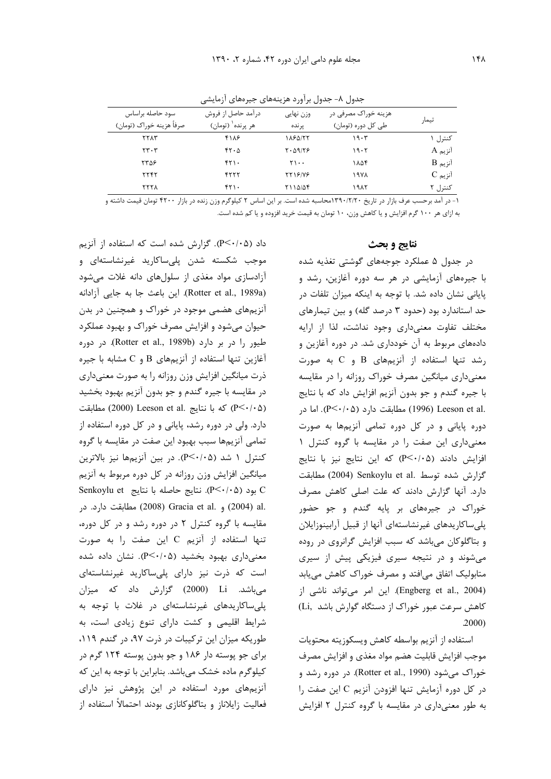|                                               |                                                     | . .<br>,,,, ,,        |                                            |                          |
|-----------------------------------------------|-----------------------------------------------------|-----------------------|--------------------------------------------|--------------------------|
| سود حاصله براساس<br>صرفاً هزينه خوراک (تومان) | درآمد حاصل از فروش<br>هر پرنده <sup>۱</sup> (تومان) | وزن نهایی<br>ير نده   | هزینه خوراک مصرفی در<br>طی کل دوره (تومان) | تيمار                    |
| <b>TTAT</b>                                   | ۴۱۸۶                                                | 1184177               | ۱۹۰۳                                       | کنټرل ۱                  |
| $\mathbf{r} \cdot \mathbf{r}$                 | 45.0                                                | $Y \cdot \Delta 9/79$ | ۱۹۰۲                                       | آنزیم A                  |
| ۲۳۵۶                                          | ۴۲۱۰                                                | ۲۱۰۰                  | ۱۸۵۴                                       | $B$ آنزیم                |
| <b>TTFT</b>                                   | ۴۲۲۲                                                | <b>TT18/V8</b>        | ۱۹۷۸                                       | $C_{\mathfrak{p}}$ آنزیم |
| ۲۲۲۸                                          | ۴۲۱۰                                                | 7114/44               | ۱۹۸۲                                       | کنترل ۲                  |

جدول ۸– جدول برآورد هزینههای جیرههای آزمایشی

۱– در آمد برحسب عرف بازار در تاریخ ۱۳۹۰/۲/۲۰محاسبه شده است. بر این اساس ۲ کیلوگرم وزن زنده در بازار ۴۲۰۰ تومان قیمت داشته و به ازای هر ۱۰۰ گرم افزایش و یا کاهش وزن، ۱۰ تومان به قیمت خرید افزوده و یا کم شده است.

#### **نتايج و بحث**

در جدول ۵ عملکرد جوجههای گوشتی تغذیه شده با جیرههای آزمایشی در هر سه دوره آغازین، رشد و پایانی نشان داده شد. با توجه به اینکه میزان تلفات در حد استاندارد بود (حدود ۳ درصد گله) و بین تیمارهای مختلف تفاوت معنى دارى وجود نداشت، لذا از ارايه دادههای مربوط به آن خودداری شد. در دوره آغازین و رشد تنها استفاده از آنزیمهای  $\, {\bf B} \,$  و  $\, {\bf C} \,$  به صورت معنیداری میانگین مصرف خوراک روزانه را در مقایسه با جیره گندم و جو بدون آنزیم افزایش داد که با نتایج .(P< $\cdot/\cdot$ ۵) مطابقت دارد (P< $\cdot/\cdot$ ). اما در (P< $\cdot$ دوره پایانی و در کل دوره تمامی آنزیمها به صورت معنیداری این صفت را در مقایسه با گروه کنترل ۱  $e^{\frac{1}{2}}$  افزایش دادند (P<۰/۰۵) که این نتایج نیز با نتایج گزارش شده توسط .Senkoylu et al (2004) مطابقت دارد. آنها گزارش دادند که علت اصلی کاهش مصرف خوراک در جیرههای بر پایه گندم و جو حضور پلیساکاریدهای غیرنشاستهای آنها از قبیل آرابینوزایلان و بتاگلوکان میباشد که سبب افزایش گرانروی در روده میشوند و در نتیجه سیری فیزیکی پیش از سیری متابولیک اتفاق میافتد و مصرف خوراک کاهش مییابد (Engberg et al., 2004). این امر میتواند ناشی از کاهش سرعت عبور خوراک از دستگاه گوارش باشد (Li .2000)

استفاده از آنزيم بواسطه كاهش ويسكوزيته محتويات موجب افزايش قابليت هضم مواد مغذى و افزايش مصرف خوراک میشود (Rotter et al., 1990). در دوره رشد و در کل دوره آزمایش تنها افزودن آنزیم C این صفت را به طور معنیداری در مقایسه با گروه کنترل ۲ افزایش

داد (P<۰/۰۵). گزارش شده است که استفاده از آنزیم موجب شکسته شدن پلیساکارید غیرنشاستهای و آزادسازی مواد مغذی از سلولهای دانه غلات میشود (Rotter et al., 1989a). این باعث جا به جایی آزادانه آنزیمهای هضمی موجود در خوراک و همچنین در بدن حیوان میشود و افزایش مصرف خوراک و بهبود عملکرد طیور را در بر دارد (Rotter et al., 1989b). در دوره آغازین تنها استفاده از آنزیمهای B و C مشابه با جیره ذرت میانگین افزایش وزن روزانه را به صورت معنیداری در مقايسه با جيره گندم و جو بدون آنزيم بهبود بخشيد كه با نتايج (Leeson et al. كه با نتايج (2000) Leeson et al. دارد. ولی در دوره رشد، پایانی و در کل دوره استفاده از تمامی آنزیمها سبب بهبود این صفت در مقایسه با گروه كنترل ١ شد (٣<٠/٠٥). در بين أنزيمها نيز بالاترين میانگین افزایش وزن روزانه در کل دوره مربوط به آنزیم Senkoylu et بود (P<٠/٠۵). نتايج حاصله با نتايج C .al (2004) و .Gracia et al (2008) مطابقت دارد. در مقایسه با گروه کنترل ۲ در دوره رشد و در کل دوره، تنها استفاده از آنزیم C این صفت را به صورت معنیداری بهبود بخشید (P<۰/۰۵). نشان داده شده است که ذرت نیز دارای پلیساکارید غیرنشاستهای میباشد. Li (2000) گزارش داد که میزان پلی ساکاریدهای غیرنشاستهای در غلات با توجه به شرایط اقلیمی و کشت دارای تنوع زیادی است، به طوریکه میزان این ترکیبات در ذرت ۹۷، در گندم ۱۱۹، برای جو پوسته دار ۱۸۶ و جو بدون پوسته ۱۲۴ گرم در کیلوگرم ماده خشک میباشد. بنابراین با توجه به این که آنزیمهای مورد استفاده در این پژوهش نیز دارای فعالیت زایلاناز و بتاگلوکانازی بودند احتمالاً استفاده از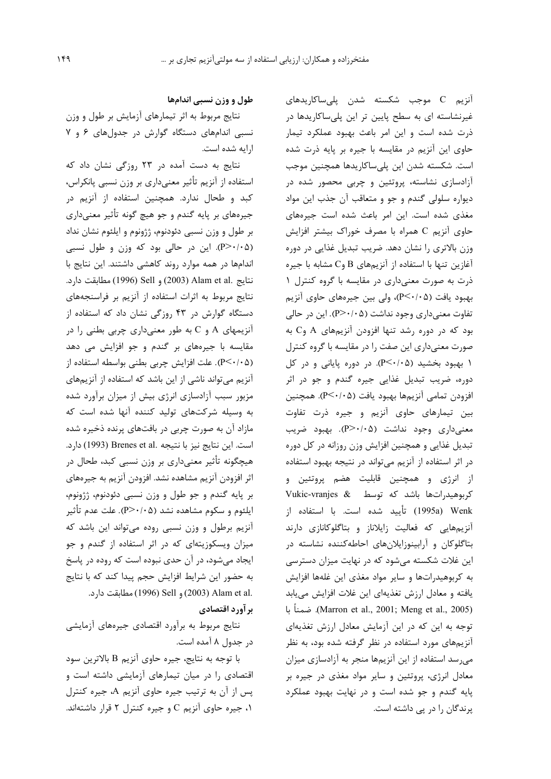آنزیم C موجب شکسته شدن پلی ساکاریدهای غیرنشاسته ای به سطح پایین تر این پلیساکاریدها در ذرت شده است و این امر باعث بهبود عملکرد تیمار حاوی این آنزیم در مقایسه با جیره بر پایه ذرت شده است. شکسته شدن این پلیساکاریدها همچنین موجب آزادسازی نشاسته، پروتئین و چربی محصور شده در ديواره سلولي گندم و جو و متعاقب آن جذب اين مواد مغذی شده است. این امر باعث شده است جیرههای حاوی آنزیم C همراه با مصرف خوراک بیشتر افزایش وزن بالاتری را نشان دهد. ضریب تبدیل غذایی در دوره آغازین تنها با استفاده از آنزیمهای B وC مشابه با جیره ذرت به صورت معنى دارى در مقايسه با گروه كنترل ١ بهبود یافت (۴<۰/۰۵)، ولی بین جیرههای حاوی آنزیم تفاوت معنیداری وجود نداشت (۵-/۰/-P). این در حالی بود که در دوره رشد تنها افزودن آنزیمهای A وC به صورت معنیداری این صفت را در مقایسه با گروه کنترل ۱ بهبود بخشید (P<۰/۰۵). در دوره پایانی و در کل دوره، ضریب تبدیل غذایی جیره گندم و جو در اثر افزودن تمامي آنزيمها بهبود يافت (P<۰/۰۵). همچنين بین تیمارهای حاوی آنزیم و جیره ذرت تفاوت معنىدارى وجود نداشت (P>٠/٠۵). بهبود ضريب تبدیل غذایی و همچنین افزایش وزن روزانه در کل دوره در اثر استفاده از آنزیم میتواند در نتیجه بهبود استفاده از انرژی و همچنین قابلیت هضم پروتئین و Vukic-vranjes & توسط Vukic-vranjes & Wenk (1995a) تأييد شده است. با استفاده از آنزیمهایی که فعالیت زایلاناز و بتاگلوکانازی دارند بتاگلوکان و آرابینوزایلانهای احاطهکننده نشاسته در این غلات شکسته میشود که در نهایت میزان دسترسی به کربوهیدراتها و سایر مواد مغذی این غلهها افزایش یافته و معادل ارزش تغذیهای این غلات افزایش می یابد (Marron et al., 2001; Meng et al., 2005). ضمناً با توجه به این که در این آزمایش معادل ارزش تغذیهای آنزیمهای مورد استفاده در نظر گرفته شده بود، به نظر می رسد استفاده از این آنزیمها منجر به آزادسازی میزان معادل انرژی، پروتئین و سایر مواد مغذی در جیره بر پایه گندم و جو شده است و در نهایت بهبود عملکرد یرندگان را در پی داشته است.

طول و وزن نسبی اندامها

نتایج مربوط به اثر تیمارهای آزمایش بر طول و وزن نسبی اندامهای دستگاه گوارش در جدولهای ۶ و ۷ ارايه شده است.

نتایج به دست آمده در ۲۳ روزگی نشان داد که استفاده از آنزیم تأثیر معنیداری بر وزن نسبی پانکراس، کبد و طحال ندارد. همچنین استفاده از آنزیم در جیرههای بر پایه گندم و جو هیچ گونه تأثیر معنیداری بر طول و وزن نسبی دئودنوم، ژژونوم و ایلئوم نشان نداد (P>٠/٠۵). این در حالی بود که وزن و طول نسبی اندامها در همه موارد روند كاهشى داشتند. اين نتايج با نتايج .Alam et al (2003) و Sell (1996) مطابقت دارد. نتایج مربوط به اثرات استفاده از آنزیم بر فراسنجههای دستگاه گوارش در ۴۳ روزگی نشان داد که استفاده از آنزیمهای A و C به طور معنیداری چربی بطنی را در مقایسه با جیرههای بر گندم و جو افزایش می دهد (P ≤ ⋅ / • >P). علت افزايش چربي بطني بواسطه استفاده از آنزیم می تواند ناشی از این باشد که استفاده از آنزیمهای مزبور سبب آزادسازی انرژی بیش از میزان برآورد شده به وسیله شرکتهای تولید کننده آنها شده است که مازاد آن به صورت چربی در بافتهای پرنده ذخیره شده است. این نتایج نیز با نتیجه .Brenes et al (1993) دارد. هیچگونه تأثیر معنیداری بر وزن نسبی کبد، طحال در اثر افزودن آنزیم مشاهده نشد. افزودن آنزیم به جیرههای بر پایه گندم و جو طول و وزن نسبی دئودنوم، ژژونوم، ایلئوم و سکوم مشاهده نشد (P>۰/۰۵). علت عدم تأثیر آنزیم برطول و وزن نسبی روده میتواند این باشد که میزان ویسکوزیتهای که در اثر استفاده از گندم و جو ایجاد میشود، در آن حدی نبوده است که روده در پاسخ به حضور این شرایط افزایش حجم پیدا کند که با نتایج .Alam et al) و Sell (1996) Sell) مطابقت دارد.

برآورد اقتصادي

نتایج مربوط به برآورد اقتصادی جیرههای آزمایشی در جدول ۸ آمده است.

با توجه به نتايج، جيره حاوي آنزيم B بالاترين سود اقتصادی را در میان تیمارهای آزمایشی داشته است و پس از آن به ترتیب جیره حاوی آنزیم A، جیره کنترل ۰۱ جیره حاوی آنزیم C و جیره کنترل ۲ قرار داشتهاند.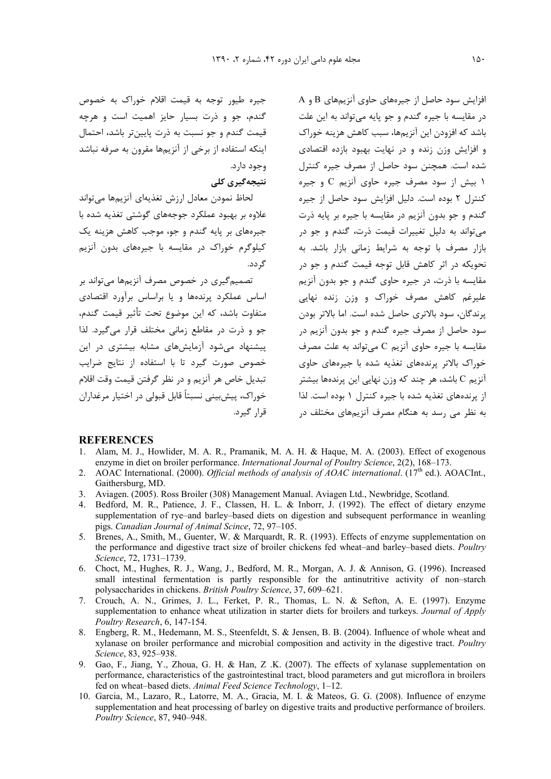جیره طیور توجه به قیمت اقلام خوراک به خصوص گندم، جو و ذرت بسیار حایز اهمیت است و هرچه قیمت گندم و جو نسبت به ذرت پایینتر باشد، احتمال اینکه استفاده از برخی از آنزیمها مقرون به صرفه نباشد . وجود دارد.

### نتیجهگیری کلی

لحاظ نمودن معادل ارزش تغذيهاى أنزيمها مىتواند علاوه بر بهبود عملکرد جوجههای گوشتی تغذیه شده با جیرههای بر پایه گندم و جو، موجب کاهش هزینه یک کیلوگرم خوراک در مقایسه با جیرههای بدون آنزیم گر دد.

تصمیم گیری در خصوص مصرف آنزیمها میتواند بر اساس عملکرد پرندهها و یا براساس برآورد اقتصادی متفاوت باشد، که این موضوع تحت تأثیر قیمت گندم، جو و ذرت در مقاطع زمانی مختلف قرار مے گیرد. لذا ییشنهاد می شود آزمایش های مشابه بیشتری در این خصوص صورت گیرد تا با استفاده از نتایج ضرایب تبديل خاص هر آنزيم و در نظر گرفتن قيمت وقت اقلام خوراک، پیش بینی نسبتاً قابل قبولی در اختیار مرغداران قرا, گیرد.

 ${\rm A}$  افزایش سود حاصل از جیرههای حاوی آنزیمهای  ${\rm B}$  و در مقايسه با جيره گندم و جو پايه ميتواند به اين علت باشد که افزودن این آنزیمها، سبب کاهش هزینه خوراک و افزایش وزن زنده و در نهایت بهبود بازده اقتصادی شده است. همچنن سود حاصل از مصرف جیره کنترل ۱ بیش از سود مصرف جیره حاوی آنزیم C و جیره کنترل ۲ بوده است. دلیل افزایش سود حاصل از جیره گندم و جو بدون آنزیم در مقایسه با جیره بر پایه ذرت میتواند به دلیل تغییرات قیمت ذرت، گندم و جو در بازار مصرف با توجه به شرایط زمانی بازار باشد. به نحویکه در اثر کاهش قابل توجه قیمت گندم و جو در مقایسه با ذرت، در جیره حاوی گندم و جو بدون آنزیم علیرغم کاهش مصرف خوراک و وزن زنده نهایی پرندگان، سود بالاتری حاصل شده است. اما بالاتر بودن سود حاصل از مصرف جیره گندم و جو بدون آنزیم در مقایسه با جیره حاوی آنزیم C میتواند به علت مصرف خوراک بالاتر پرندههای تغذیه شده با جیرههای حاوی انزیم C باشد، هر چند که وزن نهایی این پرندهها بیشتر از پرندههای تغذیه شده با جیره کنترل ۱ بوده است. لذا به نظر می رسد به هنگام مصرف آنزیمهای مختلف در

#### **REFERENCES**

- 1. Alam, M. J., Howlider, M. A. R., Pramanik, M. A. H. & Haque, M. A. (2003). Effect of exogenous enzyme in diet on broiler performance. *International Journal of Poultry Science*, 2(2), 168–173.
- 2. AOAC International. (2000). *Official methods of analysis of AOAC international*. (17<sup>th</sup> ed.). AOACInt., Gaithersburg, MD.
- 3. Aviagen. (2005). Ross Broiler (308) Management Manual. Aviagen Ltd., Newbridge, Scotland.
- 4. Bedford, M. R., Patience, J. F., Classen, H. L. & Inborr, J. (1992). The effect of dietary enzyme supplementation of rye–and barley–based diets on digestion and subsequent performance in weanling pigs. *Canadian Journal of Animal Scince*, 72, 97–105.
- 5. Brenes, A., Smith, M., Guenter, W. & Marquardt, R. R. (1993). Effects of enzyme supplementation on the performance and digestive tract size of broiler chickens fed wheat–and barley–based diets. *Poultry Science*, 72, 1731–1739.
- 6. Choct, M., Hughes, R. J., Wang, J., Bedford, M. R., Morgan, A. J. & Annison, G. (1996). Increased small intestinal fermentation is partly responsible for the antinutritive activity of non–starch polysaccharides in chickens. *British Poultry Science*, 37, 609–621.
- 7. Crouch, A. N., Grimes, J. L., Ferket, P. R., Thomas, L. N. & Sefton, A. E. (1997). Enzyme supplementation to enhance wheat utilization in starter diets for broilers and turkeys. *Journal of Apply Poultry Research*, 6, 147-154.
- 8. Engberg, R. M., Hedemann, M. S., Steenfeldt, S. & Jensen, B. B. (2004). Influence of whole wheat and xylanase on broiler performance and microbial composition and activity in the digestive tract. *Poultry Science*, 83, 925–938.
- 9. Gao, F., Jiang, Y., Zhoua, G. H. & Han, Z .K. (2007). The effects of xylanase supplementation on performance, characteristics of the gastrointestinal tract, blood parameters and gut microflora in broilers fed on wheat–based diets. *Animal Feed Science Technology*, 1–12.
- 10. Garcia, M., Lazaro, R., Latorre, M. A., Gracia, M. I. & Mateos, G. G. (2008). Influence of enzyme supplementation and heat processing of barley on digestive traits and productive performance of broilers. *Poultry Science*, 87, 940–948.